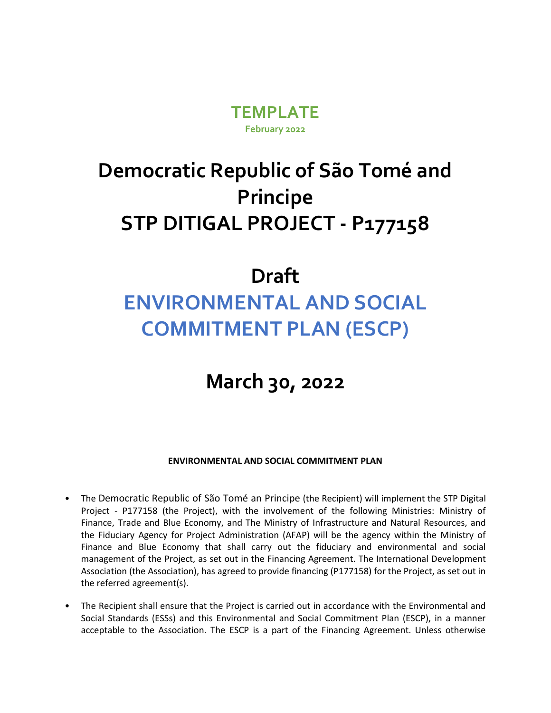

## **Democratic Republic of São Tomé and Principe STP DITIGAL PROJECT - P177158**

## **Draft ENVIRONMENTAL AND SOCIAL COMMITMENT PLAN (ESCP)**

## **March 30, 2022**

**ENVIRONMENTAL AND SOCIAL COMMITMENT PLAN**

- The Democratic Republic of São Tomé an Principe (the Recipient) will implement the STP Digital Project - P177158 (the Project), with the involvement of the following Ministries: Ministry of Finance, Trade and Blue Economy, and The Ministry of Infrastructure and Natural Resources, and the Fiduciary Agency for Project Administration (AFAP) will be the agency within the Ministry of Finance and Blue Economy that shall carry out the fiduciary and environmental and social management of the Project, as set out in the Financing Agreement. The International Development Association (the Association), has agreed to provide financing (P177158) for the Project, as set out in the referred agreement(s).
- The Recipient shall ensure that the Project is carried out in accordance with the Environmental and Social Standards (ESSs) and this Environmental and Social Commitment Plan (ESCP), in a manner acceptable to the Association. The ESCP is a part of the Financing Agreement. Unless otherwise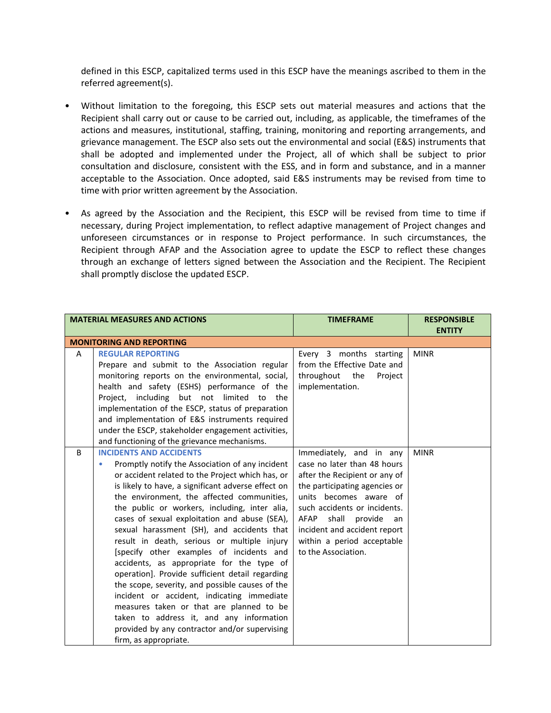defined in this ESCP, capitalized terms used in this ESCP have the meanings ascribed to them in the referred agreement(s).

- Without limitation to the foregoing, this ESCP sets out material measures and actions that the Recipient shall carry out or cause to be carried out, including, as applicable, the timeframes of the actions and measures, institutional, staffing, training, monitoring and reporting arrangements, and grievance management. The ESCP also sets out the environmental and social (E&S) instruments that shall be adopted and implemented under the Project, all of which shall be subject to prior consultation and disclosure, consistent with the ESS, and in form and substance, and in a manner acceptable to the Association. Once adopted, said E&S instruments may be revised from time to time with prior written agreement by the Association.
- As agreed by the Association and the Recipient, this ESCP will be revised from time to time if necessary, during Project implementation, to reflect adaptive management of Project changes and unforeseen circumstances or in response to Project performance. In such circumstances, the Recipient through AFAP and the Association agree to update the ESCP to reflect these changes through an exchange of letters signed between the Association and the Recipient. The Recipient shall promptly disclose the updated ESCP.

|   | <b>MATERIAL MEASURES AND ACTIONS</b>                                                                                                                                                                                                                                                                                                                                                                                                                                                                                                                                                                                                                                                                                                                                                                                                                         | <b>TIMEFRAME</b>                                                                                                                                                                                                                                                                                          | <b>RESPONSIBLE</b><br><b>ENTITY</b> |
|---|--------------------------------------------------------------------------------------------------------------------------------------------------------------------------------------------------------------------------------------------------------------------------------------------------------------------------------------------------------------------------------------------------------------------------------------------------------------------------------------------------------------------------------------------------------------------------------------------------------------------------------------------------------------------------------------------------------------------------------------------------------------------------------------------------------------------------------------------------------------|-----------------------------------------------------------------------------------------------------------------------------------------------------------------------------------------------------------------------------------------------------------------------------------------------------------|-------------------------------------|
|   | <b>MONITORING AND REPORTING</b>                                                                                                                                                                                                                                                                                                                                                                                                                                                                                                                                                                                                                                                                                                                                                                                                                              |                                                                                                                                                                                                                                                                                                           |                                     |
| A | <b>REGULAR REPORTING</b><br>Prepare and submit to the Association regular<br>monitoring reports on the environmental, social,<br>health and safety (ESHS) performance of the<br>Project, including but not limited to the<br>implementation of the ESCP, status of preparation<br>and implementation of E&S instruments required<br>under the ESCP, stakeholder engagement activities,<br>and functioning of the grievance mechanisms.                                                                                                                                                                                                                                                                                                                                                                                                                       | Every 3 months starting<br>from the Effective Date and<br>throughout<br>the<br>Project<br>implementation.                                                                                                                                                                                                 | <b>MINR</b>                         |
| B | <b>INCIDENTS AND ACCIDENTS</b><br>Promptly notify the Association of any incident<br>۰<br>or accident related to the Project which has, or<br>is likely to have, a significant adverse effect on<br>the environment, the affected communities,<br>the public or workers, including, inter alia,<br>cases of sexual exploitation and abuse (SEA),<br>sexual harassment (SH), and accidents that<br>result in death, serious or multiple injury<br>[specify other examples of incidents and<br>accidents, as appropriate for the type of<br>operation]. Provide sufficient detail regarding<br>the scope, severity, and possible causes of the<br>incident or accident, indicating immediate<br>measures taken or that are planned to be<br>taken to address it, and any information<br>provided by any contractor and/or supervising<br>firm, as appropriate. | Immediately, and in any<br>case no later than 48 hours<br>after the Recipient or any of<br>the participating agencies or<br>units becomes aware of<br>such accidents or incidents.<br>shall<br>AFAP<br>provide<br>an<br>incident and accident report<br>within a period acceptable<br>to the Association. | <b>MINR</b>                         |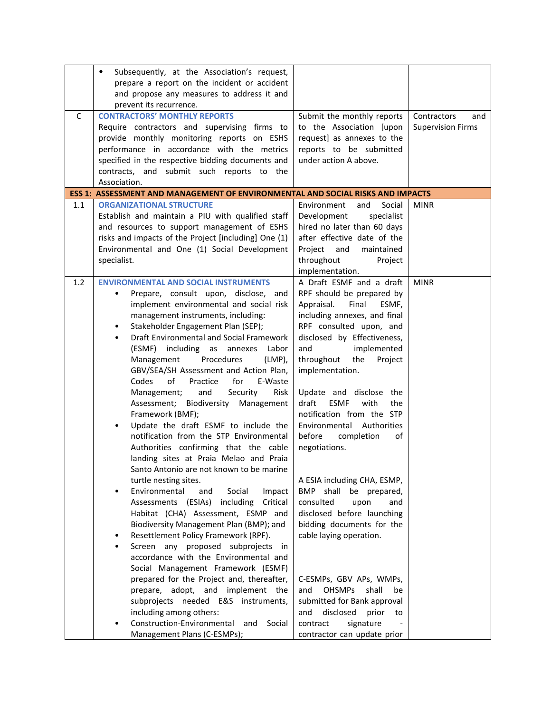|              | Subsequently, at the Association's request,<br>$\bullet$<br>prepare a report on the incident or accident<br>and propose any measures to address it and<br>prevent its recurrence.                                                                                                                                                                                                                                                                                                                                                                                                                                                                                                                                                                                       |                                                                                                                                                                                                                                                                                                                                                                                                                                     |                                                |
|--------------|-------------------------------------------------------------------------------------------------------------------------------------------------------------------------------------------------------------------------------------------------------------------------------------------------------------------------------------------------------------------------------------------------------------------------------------------------------------------------------------------------------------------------------------------------------------------------------------------------------------------------------------------------------------------------------------------------------------------------------------------------------------------------|-------------------------------------------------------------------------------------------------------------------------------------------------------------------------------------------------------------------------------------------------------------------------------------------------------------------------------------------------------------------------------------------------------------------------------------|------------------------------------------------|
| $\mathsf{C}$ | <b>CONTRACTORS' MONTHLY REPORTS</b><br>Require contractors and supervising firms to<br>provide monthly monitoring reports on ESHS<br>performance in accordance with the metrics<br>specified in the respective bidding documents and<br>contracts, and submit such reports to the<br>Association.                                                                                                                                                                                                                                                                                                                                                                                                                                                                       | Submit the monthly reports<br>to the Association [upon<br>request] as annexes to the<br>reports to be submitted<br>under action A above.                                                                                                                                                                                                                                                                                            | Contractors<br>and<br><b>Supervision Firms</b> |
|              | <b>ESS 1: ASSESSMENT AND MANAGEMENT OF ENVIRONMENTAL AND SOCIAL RISKS AND IMPACTS</b>                                                                                                                                                                                                                                                                                                                                                                                                                                                                                                                                                                                                                                                                                   |                                                                                                                                                                                                                                                                                                                                                                                                                                     |                                                |
| 1.1          | <b>ORGANIZATIONAL STRUCTURE</b><br>Establish and maintain a PIU with qualified staff<br>and resources to support management of ESHS<br>risks and impacts of the Project [including] One (1)<br>Environmental and One (1) Social Development<br>specialist.                                                                                                                                                                                                                                                                                                                                                                                                                                                                                                              | Social<br>Environment<br>and<br>Development<br>specialist<br>hired no later than 60 days<br>after effective date of the<br>Project<br>and<br>maintained<br>throughout<br>Project<br>implementation.                                                                                                                                                                                                                                 | <b>MINR</b>                                    |
| 1.2          | <b>ENVIRONMENTAL AND SOCIAL INSTRUMENTS</b><br>Prepare, consult upon, disclose,<br>and<br>implement environmental and social risk<br>management instruments, including:<br>Stakeholder Engagement Plan (SEP);<br>٠<br>Draft Environmental and Social Framework<br>٠<br>(ESMF) including as annexes<br>Labor<br>Management<br>Procedures<br>$(LMP)$ ,<br>GBV/SEA/SH Assessment and Action Plan,<br>Codes<br>of<br>for<br>E-Waste<br>Practice<br>Security<br>Management;<br>and<br>Risk<br>Assessment; Biodiversity Management<br>Framework (BMF);<br>Update the draft ESMF to include the<br>٠<br>notification from the STP Environmental<br>Authorities confirming that the cable<br>landing sites at Praia Melao and Praia<br>Santo Antonio are not known to be marine | A Draft ESMF and a draft<br>RPF should be prepared by<br>Appraisal.<br>Final<br>ESMF,<br>including annexes, and final<br>RPF consulted upon, and<br>disclosed by Effectiveness,<br>implemented<br>and<br>throughout<br>the<br>Project<br>implementation.<br>Update and disclose the<br><b>ESMF</b><br>draft<br>with<br>the<br>notification from the STP<br>Environmental Authorities<br>before<br>completion<br>of<br>negotiations. | <b>MINR</b>                                    |
|              | turtle nesting sites.<br>Social<br>Environmental<br>Impact<br>and<br>Assessments (ESIAs) including<br>Critical<br>Habitat (CHA) Assessment, ESMP and<br>Biodiversity Management Plan (BMP); and<br>Resettlement Policy Framework (RPF).<br>٠<br>Screen any proposed subprojects in<br>٠<br>accordance with the Environmental and<br>Social Management Framework (ESMF)<br>prepared for the Project and, thereafter,<br>prepare, adopt, and implement the<br>subprojects needed E&S instruments,<br>including among others:<br>Construction-Environmental<br>and<br>Social<br>Management Plans (C-ESMPs);                                                                                                                                                                | A ESIA including CHA, ESMP,<br>BMP shall<br>be prepared,<br>consulted<br>upon<br>and<br>disclosed before launching<br>bidding documents for the<br>cable laying operation.<br>C-ESMPs, GBV APs, WMPs,<br><b>OHSMPs</b><br>shall<br>and<br>be<br>submitted for Bank approval<br>disclosed<br>and<br>prior<br>to<br>contract<br>signature<br>contractor can update prior                                                              |                                                |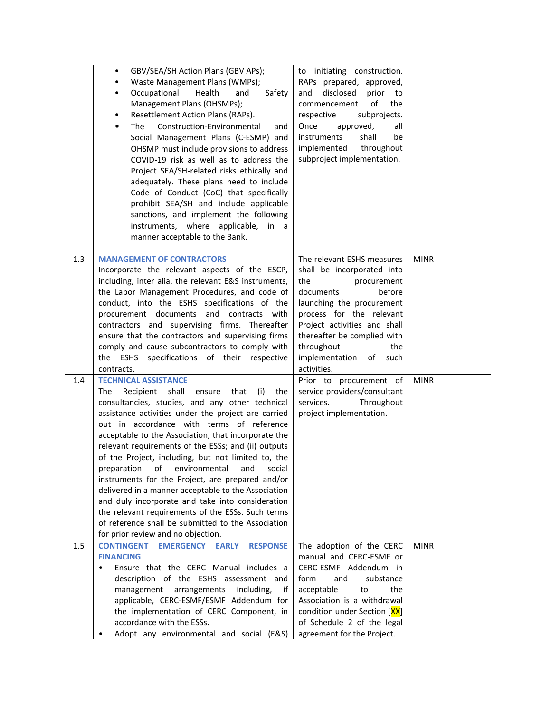|     | GBV/SEA/SH Action Plans (GBV APs);<br>$\bullet$<br>Waste Management Plans (WMPs);<br>$\bullet$<br>Occupational<br>Health<br>and<br>Safety<br>$\bullet$<br>Management Plans (OHSMPs);<br>Resettlement Action Plans (RAPs).<br>٠<br>Construction-Environmental<br>The<br>$\bullet$<br>and<br>Social Management Plans (C-ESMP) and<br>OHSMP must include provisions to address<br>COVID-19 risk as well as to address the<br>Project SEA/SH-related risks ethically and<br>adequately. These plans need to include<br>Code of Conduct (CoC) that specifically<br>prohibit SEA/SH and include applicable<br>sanctions, and implement the following<br>instruments, where applicable, in a<br>manner acceptable to the Bank.                                                  | to initiating construction.<br>RAPs prepared, approved,<br>disclosed<br>and<br>prior<br>to<br>of<br>commencement<br>the<br>respective<br>subprojects.<br>approved,<br>all<br>Once<br>instruments<br>shall<br>be<br>implemented<br>throughout<br>subproject implementation.                     |             |
|-----|--------------------------------------------------------------------------------------------------------------------------------------------------------------------------------------------------------------------------------------------------------------------------------------------------------------------------------------------------------------------------------------------------------------------------------------------------------------------------------------------------------------------------------------------------------------------------------------------------------------------------------------------------------------------------------------------------------------------------------------------------------------------------|------------------------------------------------------------------------------------------------------------------------------------------------------------------------------------------------------------------------------------------------------------------------------------------------|-------------|
| 1.3 | <b>MANAGEMENT OF CONTRACTORS</b><br>Incorporate the relevant aspects of the ESCP,<br>including, inter alia, the relevant E&S instruments,<br>the Labor Management Procedures, and code of<br>conduct, into the ESHS specifications of the<br>procurement documents and contracts with<br>contractors and supervising firms. Thereafter<br>ensure that the contractors and supervising firms<br>comply and cause subcontractors to comply with<br>the ESHS specifications of their respective<br>contracts.                                                                                                                                                                                                                                                               | The relevant ESHS measures<br>shall be incorporated into<br>the<br>procurement<br>before<br>documents<br>launching the procurement<br>process for the relevant<br>Project activities and shall<br>thereafter be complied with<br>throughout<br>the<br>implementation of<br>such<br>activities. | <b>MINR</b> |
| 1.4 | <b>TECHNICAL ASSISTANCE</b><br>Recipient shall<br>The<br>ensure that<br>(i)<br>the<br>consultancies, studies, and any other technical<br>assistance activities under the project are carried<br>out in accordance with terms of reference<br>acceptable to the Association, that incorporate the<br>relevant requirements of the ESSs; and (ii) outputs<br>of the Project, including, but not limited to, the<br>preparation of environmental and social<br>instruments for the Project, are prepared and/or<br>delivered in a manner acceptable to the Association<br>and duly incorporate and take into consideration<br>the relevant requirements of the ESSs. Such terms<br>of reference shall be submitted to the Association<br>for prior review and no objection. | Prior to procurement of<br>service providers/consultant<br>services.<br>Throughout<br>project implementation.                                                                                                                                                                                  | <b>MINR</b> |
| 1.5 | <b>RESPONSE</b><br><b>CONTINGENT</b><br><b>EMERGENCY</b><br><b>EARLY</b><br><b>FINANCING</b><br>Ensure that the CERC Manual includes a<br>٠<br>description of the ESHS assessment and<br>management<br>arrangements<br>including,<br>if<br>applicable, CERC-ESMF/ESMF Addendum for<br>the implementation of CERC Component, in<br>accordance with the ESSs.<br>Adopt any environmental and social (E&S)                                                                                                                                                                                                                                                                                                                                                                  | The adoption of the CERC<br>manual and CERC-ESMF or<br>CERC-ESMF Addendum in<br>form<br>substance<br>and<br>acceptable<br>the<br>to<br>Association is a withdrawal<br>condition under Section [XX]<br>of Schedule 2 of the legal<br>agreement for the Project.                                 | <b>MINR</b> |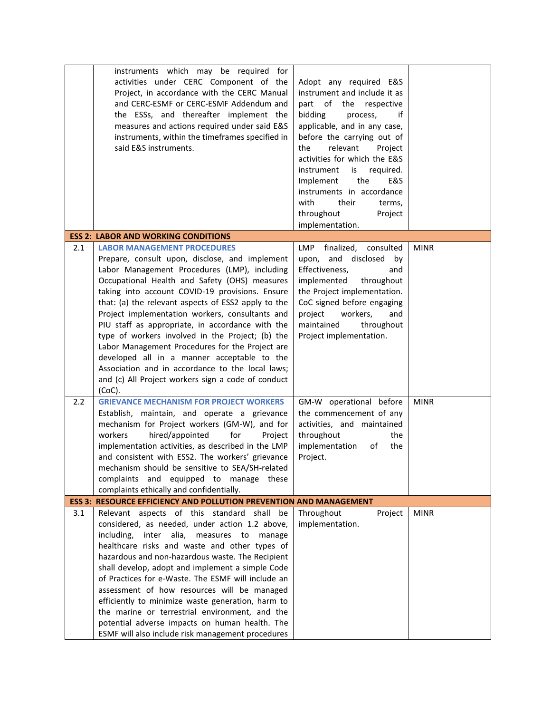|     | instruments which may be required for<br>activities under CERC Component of the<br>Project, in accordance with the CERC Manual<br>and CERC-ESMF or CERC-ESMF Addendum and<br>the ESSs, and thereafter implement the<br>measures and actions required under said E&S<br>instruments, within the timeframes specified in<br>said E&S instruments.                                                                                                                                                                                                                                                                                                                                     | Adopt any required E&S<br>instrument and include it as<br>part of the respective<br>bidding<br>process,<br>if<br>applicable, and in any case,<br>before the carrying out of<br>the<br>relevant<br>Project<br>activities for which the E&S<br>is<br>instrument<br>required.<br>the<br>E&S<br>Implement<br>instruments in accordance<br>with<br>their<br>terms,<br>throughout<br>Project<br>implementation. |             |
|-----|-------------------------------------------------------------------------------------------------------------------------------------------------------------------------------------------------------------------------------------------------------------------------------------------------------------------------------------------------------------------------------------------------------------------------------------------------------------------------------------------------------------------------------------------------------------------------------------------------------------------------------------------------------------------------------------|-----------------------------------------------------------------------------------------------------------------------------------------------------------------------------------------------------------------------------------------------------------------------------------------------------------------------------------------------------------------------------------------------------------|-------------|
|     | <b>ESS 2: LABOR AND WORKING CONDITIONS</b>                                                                                                                                                                                                                                                                                                                                                                                                                                                                                                                                                                                                                                          |                                                                                                                                                                                                                                                                                                                                                                                                           |             |
| 2.1 | <b>LABOR MANAGEMENT PROCEDURES</b><br>Prepare, consult upon, disclose, and implement<br>Labor Management Procedures (LMP), including<br>Occupational Health and Safety (OHS) measures<br>taking into account COVID-19 provisions. Ensure<br>that: (a) the relevant aspects of ESS2 apply to the<br>Project implementation workers, consultants and<br>PIU staff as appropriate, in accordance with the<br>type of workers involved in the Project; (b) the<br>Labor Management Procedures for the Project are<br>developed all in a manner acceptable to the<br>Association and in accordance to the local laws;<br>and (c) All Project workers sign a code of conduct<br>$(CoC)$ . | LMP<br>finalized,<br>consulted<br>upon, and disclosed<br>by<br>Effectiveness,<br>and<br>implemented<br>throughout<br>the Project implementation.<br>CoC signed before engaging<br>project<br>workers,<br>and<br>maintained<br>throughout<br>Project implementation.                                                                                                                                       | <b>MINR</b> |
| 2.2 | <b>GRIEVANCE MECHANISM FOR PROJECT WORKERS</b><br>Establish, maintain, and operate a grievance<br>mechanism for Project workers (GM-W), and for<br>workers<br>hired/appointed<br>for<br>Project<br>implementation activities, as described in the LMP<br>and consistent with ESS2. The workers' grievance<br>mechanism should be sensitive to SEA/SH-related<br>complaints and equipped to manage these<br>complaints ethically and confidentially.                                                                                                                                                                                                                                 | GM-W operational before<br>the commencement of any<br>activities, and maintained<br>throughout<br>the<br>implementation<br>of<br>the<br>Project.                                                                                                                                                                                                                                                          | <b>MINR</b> |
|     | <b>ESS 3: RESOURCE EFFICIENCY AND POLLUTION PREVENTION AND MANAGEMENT</b>                                                                                                                                                                                                                                                                                                                                                                                                                                                                                                                                                                                                           |                                                                                                                                                                                                                                                                                                                                                                                                           |             |
| 3.1 | Relevant aspects of this standard shall<br>be<br>considered, as needed, under action 1.2 above,<br>alia, measures to<br>including,<br>inter<br>manage<br>healthcare risks and waste and other types of<br>hazardous and non-hazardous waste. The Recipient<br>shall develop, adopt and implement a simple Code<br>of Practices for e-Waste. The ESMF will include an<br>assessment of how resources will be managed<br>efficiently to minimize waste generation, harm to<br>the marine or terrestrial environment, and the<br>potential adverse impacts on human health. The<br>ESMF will also include risk management procedures                                                   | Throughout<br>Project<br>implementation.                                                                                                                                                                                                                                                                                                                                                                  | <b>MINR</b> |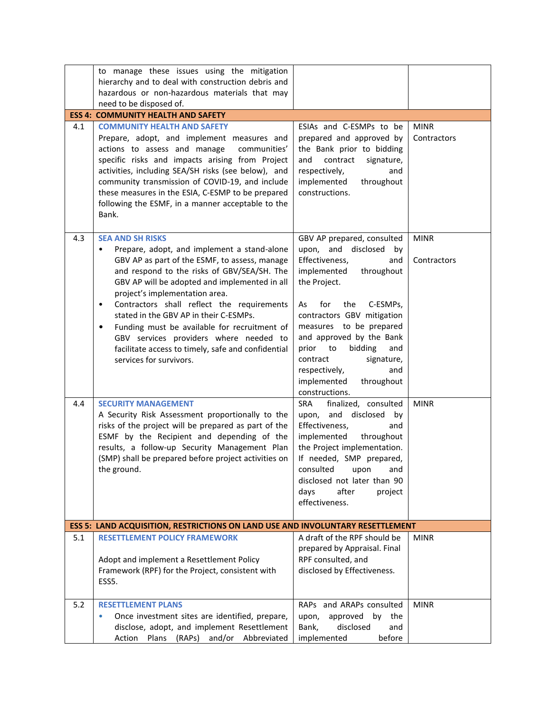|     | to manage these issues using the mitigation<br>hierarchy and to deal with construction debris and<br>hazardous or non-hazardous materials that may<br>need to be disposed of.                                                                                                                                                                                                                                                                                                                                                                                       |                                                                                                                                                                                                                                                                                                                                                                                   |                            |
|-----|---------------------------------------------------------------------------------------------------------------------------------------------------------------------------------------------------------------------------------------------------------------------------------------------------------------------------------------------------------------------------------------------------------------------------------------------------------------------------------------------------------------------------------------------------------------------|-----------------------------------------------------------------------------------------------------------------------------------------------------------------------------------------------------------------------------------------------------------------------------------------------------------------------------------------------------------------------------------|----------------------------|
|     | <b>ESS 4: COMMUNITY HEALTH AND SAFETY</b>                                                                                                                                                                                                                                                                                                                                                                                                                                                                                                                           |                                                                                                                                                                                                                                                                                                                                                                                   |                            |
| 4.1 | <b>COMMUNITY HEALTH AND SAFETY</b><br>Prepare, adopt, and implement measures and<br>actions to assess and manage<br>communities'<br>specific risks and impacts arising from Project<br>activities, including SEA/SH risks (see below), and<br>community transmission of COVID-19, and include<br>these measures in the ESIA, C-ESMP to be prepared<br>following the ESMF, in a manner acceptable to the<br>Bank.                                                                                                                                                    | ESIAs and C-ESMPs to be<br>prepared and approved by<br>the Bank prior to bidding<br>contract<br>and<br>signature,<br>respectively,<br>and<br>implemented<br>throughout<br>constructions.                                                                                                                                                                                          | <b>MINR</b><br>Contractors |
| 4.3 | <b>SEA AND SH RISKS</b><br>Prepare, adopt, and implement a stand-alone<br>$\bullet$<br>GBV AP as part of the ESMF, to assess, manage<br>and respond to the risks of GBV/SEA/SH. The<br>GBV AP will be adopted and implemented in all<br>project's implementation area.<br>Contractors shall reflect the requirements<br>$\bullet$<br>stated in the GBV AP in their C-ESMPs.<br>Funding must be available for recruitment of<br>$\bullet$<br>GBV services providers where needed to<br>facilitate access to timely, safe and confidential<br>services for survivors. | GBV AP prepared, consulted<br>upon, and disclosed<br>by<br>Effectiveness,<br>and<br>implemented<br>throughout<br>the Project.<br>C-ESMPs,<br>for<br>the<br>As<br>contractors GBV mitigation<br>measures to be prepared<br>and approved by the Bank<br>bidding<br>prior to<br>and<br>contract<br>signature,<br>and<br>respectively,<br>implemented<br>throughout<br>constructions. | <b>MINR</b><br>Contractors |
| 4.4 | <b>SECURITY MANAGEMENT</b><br>A Security Risk Assessment proportionally to the<br>risks of the project will be prepared as part of the<br>ESMF by the Recipient and depending of the<br>results, a follow-up Security Management Plan<br>(SMP) shall be prepared before project activities on<br>the ground.                                                                                                                                                                                                                                                        | finalized, consulted<br><b>SRA</b><br>upon, and disclosed by<br>Effectiveness,<br>and<br>implemented<br>throughout<br>the Project implementation.<br>If needed, SMP prepared,<br>consulted<br>and<br>upon<br>disclosed not later than 90<br>after<br>days<br>project<br>effectiveness.                                                                                            | <b>MINR</b>                |
|     | ESS 5: LAND ACQUISITION, RESTRICTIONS ON LAND USE AND INVOLUNTARY RESETTLEMENT                                                                                                                                                                                                                                                                                                                                                                                                                                                                                      |                                                                                                                                                                                                                                                                                                                                                                                   |                            |
| 5.1 | <b>RESETTLEMENT POLICY FRAMEWORK</b><br>Adopt and implement a Resettlement Policy<br>Framework (RPF) for the Project, consistent with<br>ESS5.                                                                                                                                                                                                                                                                                                                                                                                                                      | A draft of the RPF should be<br>prepared by Appraisal. Final<br>RPF consulted, and<br>disclosed by Effectiveness.                                                                                                                                                                                                                                                                 | <b>MINR</b>                |
| 5.2 | <b>RESETTLEMENT PLANS</b><br>Once investment sites are identified, prepare,<br>disclose, adopt, and implement Resettlement<br>Plans (RAPs) and/or Abbreviated<br>Action                                                                                                                                                                                                                                                                                                                                                                                             | RAPs and ARAPs consulted<br>upon,<br>approved by the<br>Bank,<br>disclosed<br>and<br>implemented<br>before                                                                                                                                                                                                                                                                        | <b>MINR</b>                |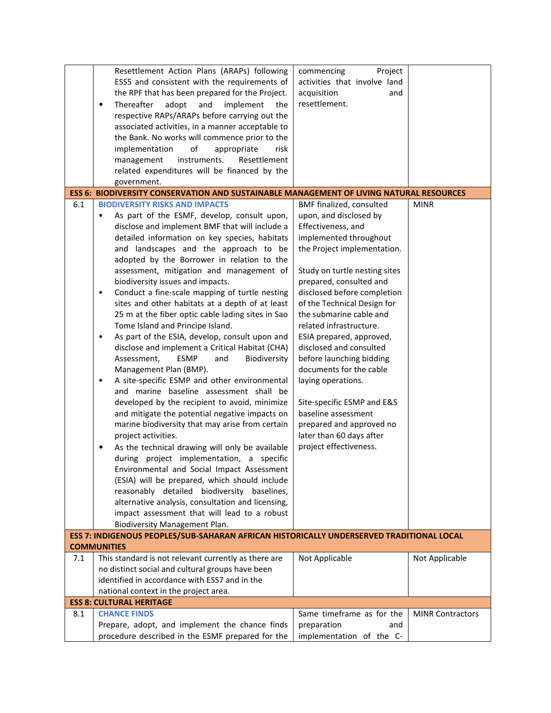|     | Resettlement Action Plans (ARAPs) following                                                    | commencing<br>Project         |                         |
|-----|------------------------------------------------------------------------------------------------|-------------------------------|-------------------------|
|     | ESS5 and consistent with the requirements of                                                   | activities that involve land  |                         |
|     | the RPF that has been prepared for the Project.                                                | acquisition<br>and            |                         |
|     | and<br>Thereafter<br>adopt<br>implement<br>$\bullet$<br>the                                    | resettlement.                 |                         |
|     | respective RAPs/ARAPs before carrying out the                                                  |                               |                         |
|     | associated activities, in a manner acceptable to                                               |                               |                         |
|     | the Bank. No works will commence prior to the                                                  |                               |                         |
|     | of<br>implementation<br>appropriate<br>risk                                                    |                               |                         |
|     | management<br>instruments.<br>Resettlement                                                     |                               |                         |
|     | related expenditures will be financed by the                                                   |                               |                         |
|     | government.                                                                                    |                               |                         |
|     | <b>ESS 6: BIODIVERSITY CONSERVATION AND SUSTAINABLE MANAGEMENT OF LIVING NATURAL RESOURCES</b> |                               |                         |
| 6.1 | <b>BIODIVERSITY RISKS AND IMPACTS</b>                                                          | BMF finalized, consulted      | <b>MINR</b>             |
|     | As part of the ESMF, develop, consult upon,<br>$\bullet$                                       | upon, and disclosed by        |                         |
|     | disclose and implement BMF that will include a                                                 | Effectiveness, and            |                         |
|     | detailed information on key species, habitats                                                  | implemented throughout        |                         |
|     | and landscapes and the approach to be                                                          | the Project implementation.   |                         |
|     | adopted by the Borrower in relation to the                                                     |                               |                         |
|     | assessment, mitigation and management of                                                       | Study on turtle nesting sites |                         |
|     | biodiversity issues and impacts.                                                               | prepared, consulted and       |                         |
|     | Conduct a fine-scale mapping of turtle nesting<br>$\bullet$                                    | disclosed before completion   |                         |
|     | sites and other habitats at a depth of at least                                                | of the Technical Design for   |                         |
|     | 25 m at the fiber optic cable lading sites in Sao                                              | the submarine cable and       |                         |
|     | Tome Island and Principe Island.                                                               | related infrastructure.       |                         |
|     |                                                                                                |                               |                         |
|     | As part of the ESIA, develop, consult upon and<br>$\bullet$                                    | ESIA prepared, approved,      |                         |
|     | disclose and implement a Critical Habitat (CHA)                                                | disclosed and consulted       |                         |
|     | Assessment,<br><b>ESMP</b><br>Biodiversity<br>and                                              | before launching bidding      |                         |
|     | Management Plan (BMP).                                                                         | documents for the cable       |                         |
|     | A site-specific ESMP and other environmental<br>$\bullet$                                      | laying operations.            |                         |
|     | and marine baseline assessment shall be                                                        |                               |                         |
|     | developed by the recipient to avoid, minimize                                                  | Site-specific ESMP and E&S    |                         |
|     | and mitigate the potential negative impacts on                                                 | baseline assessment           |                         |
|     | marine biodiversity that may arise from certain                                                | prepared and approved no      |                         |
|     | project activities.                                                                            | later than 60 days after      |                         |
|     | As the technical drawing will only be available                                                | project effectiveness.        |                         |
|     | during project implementation, a specific                                                      |                               |                         |
|     | Environmental and Social Impact Assessment                                                     |                               |                         |
|     | (ESIA) will be prepared, which should include                                                  |                               |                         |
|     | reasonably detailed biodiversity baselines,                                                    |                               |                         |
|     | alternative analysis, consultation and licensing,                                              |                               |                         |
|     | impact assessment that will lead to a robust                                                   |                               |                         |
|     | <b>Biodiversity Management Plan.</b>                                                           |                               |                         |
|     | ESS 7: INDIGENOUS PEOPLES/SUB-SAHARAN AFRICAN HISTORICALLY UNDERSERVED TRADITIONAL LOCAL       |                               |                         |
|     | <b>COMMUNITIES</b>                                                                             |                               |                         |
| 7.1 | This standard is not relevant currently as there are                                           | Not Applicable                | Not Applicable          |
|     | no distinct social and cultural groups have been                                               |                               |                         |
|     | identified in accordance with ESS7 and in the                                                  |                               |                         |
|     | national context in the project area.                                                          |                               |                         |
| 8.1 | <b>ESS 8: CULTURAL HERITAGE</b><br><b>CHANCE FINDS</b>                                         | Same timeframe as for the     | <b>MINR Contractors</b> |
|     | Prepare, adopt, and implement the chance finds                                                 | preparation<br>and            |                         |
|     | procedure described in the ESMF prepared for the                                               | implementation of the C-      |                         |
|     |                                                                                                |                               |                         |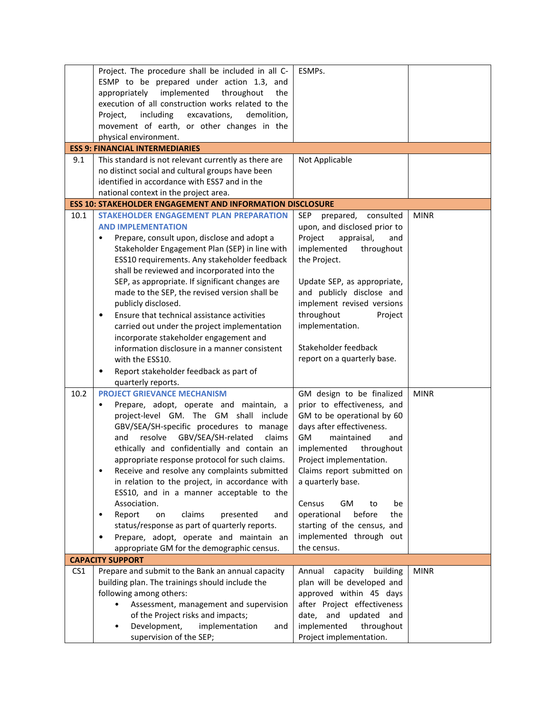|                 | Project. The procedure shall be included in all C-                                                        | ESMPs.                               |             |
|-----------------|-----------------------------------------------------------------------------------------------------------|--------------------------------------|-------------|
|                 | ESMP to be prepared under action 1.3, and                                                                 |                                      |             |
|                 | throughout<br>appropriately<br>implemented<br>the                                                         |                                      |             |
|                 | execution of all construction works related to the                                                        |                                      |             |
|                 | including<br>excavations,<br>Project,<br>demolition,                                                      |                                      |             |
|                 | movement of earth, or other changes in the                                                                |                                      |             |
|                 | physical environment.                                                                                     |                                      |             |
|                 | <b>ESS 9: FINANCIAL INTERMEDIARIES</b>                                                                    |                                      |             |
| 9.1             | This standard is not relevant currently as there are                                                      | Not Applicable                       |             |
|                 |                                                                                                           |                                      |             |
|                 | no distinct social and cultural groups have been<br>identified in accordance with ESS7 and in the         |                                      |             |
|                 |                                                                                                           |                                      |             |
|                 | national context in the project area.<br><b>ESS 10: STAKEHOLDER ENGAGEMENT AND INFORMATION DISCLOSURE</b> |                                      |             |
| 10.1            | <b>STAKEHOLDER ENGAGEMENT PLAN PREPARATION</b>                                                            |                                      | <b>MINR</b> |
|                 |                                                                                                           | <b>SEP</b><br>prepared,<br>consulted |             |
|                 | <b>AND IMPLEMENTATION</b>                                                                                 | upon, and disclosed prior to         |             |
|                 | Prepare, consult upon, disclose and adopt a<br>$\bullet$                                                  | Project<br>appraisal,<br>and         |             |
|                 | Stakeholder Engagement Plan (SEP) in line with                                                            | implemented<br>throughout            |             |
|                 | ESS10 requirements. Any stakeholder feedback                                                              | the Project.                         |             |
|                 | shall be reviewed and incorporated into the                                                               |                                      |             |
|                 | SEP, as appropriate. If significant changes are                                                           | Update SEP, as appropriate,          |             |
|                 | made to the SEP, the revised version shall be                                                             | and publicly disclose and            |             |
|                 | publicly disclosed.                                                                                       | implement revised versions           |             |
|                 | Ensure that technical assistance activities<br>$\bullet$                                                  | throughout<br>Project                |             |
|                 | carried out under the project implementation                                                              | implementation.                      |             |
|                 | incorporate stakeholder engagement and                                                                    |                                      |             |
|                 | information disclosure in a manner consistent                                                             | Stakeholder feedback                 |             |
|                 | with the ESS10.                                                                                           | report on a quarterly base.          |             |
|                 | Report stakeholder feedback as part of<br>٠                                                               |                                      |             |
|                 | quarterly reports.                                                                                        |                                      |             |
| 10.2            | <b>PROJECT GRIEVANCE MECHANISM</b>                                                                        | GM design to be finalized            | <b>MINR</b> |
|                 | Prepare, adopt, operate and maintain, a<br>$\bullet$                                                      | prior to effectiveness, and          |             |
|                 | project-level GM. The GM shall include                                                                    | GM to be operational by 60           |             |
|                 | GBV/SEA/SH-specific procedures to manage                                                                  | days after effectiveness.            |             |
|                 | GBV/SEA/SH-related<br>resolve<br>claims<br>and                                                            | <b>GM</b><br>maintained<br>and       |             |
|                 | ethically and confidentially and contain an                                                               | implemented<br>throughout            |             |
|                 | appropriate response protocol for such claims.                                                            | Project implementation.              |             |
|                 | Receive and resolve any complaints submitted<br>$\bullet$                                                 | Claims report submitted on           |             |
|                 | in relation to the project, in accordance with                                                            | a quarterly base.                    |             |
|                 | ESS10, and in a manner acceptable to the                                                                  |                                      |             |
|                 | Association.                                                                                              | Census<br>GM<br>be<br>to             |             |
|                 | Report<br>claims<br>presented<br>on<br>and<br>$\bullet$                                                   | operational<br>before<br>the         |             |
|                 | status/response as part of quarterly reports.                                                             | starting of the census, and          |             |
|                 | $\bullet$                                                                                                 | implemented through out              |             |
|                 | Prepare, adopt, operate and maintain an<br>appropriate GM for the demographic census.                     | the census.                          |             |
|                 | <b>CAPACITY SUPPORT</b>                                                                                   |                                      |             |
| CS <sub>1</sub> | Prepare and submit to the Bank an annual capacity                                                         | capacity<br>building<br>Annual       | <b>MINR</b> |
|                 | building plan. The trainings should include the                                                           | plan will be developed and           |             |
|                 |                                                                                                           |                                      |             |
|                 | following among others:                                                                                   | approved within 45 days              |             |
|                 | Assessment, management and supervision                                                                    | after Project effectiveness          |             |
|                 | of the Project risks and impacts;                                                                         | date, and updated and                |             |
|                 | Development,<br>implementation<br>and                                                                     | implemented<br>throughout            |             |
|                 | supervision of the SEP;                                                                                   | Project implementation.              |             |